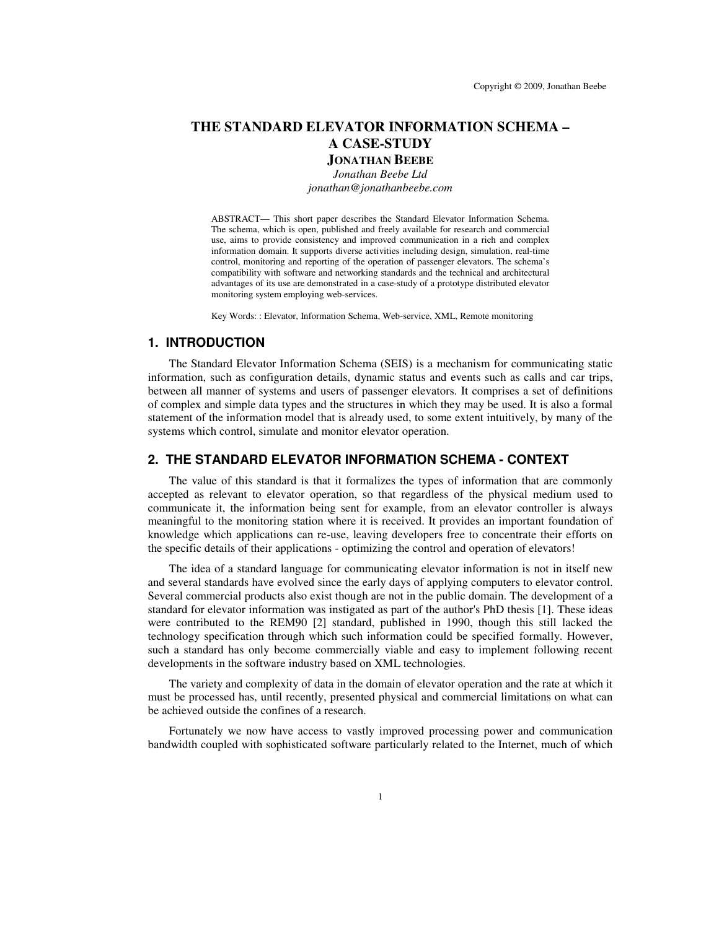# **THE STANDARD ELEVATOR INFORMATION SCHEMA – A CASE-STUDY**

# **JONATHAN BEEBE**

*Jonathan Beebe Ltd jonathan@jonathanbeebe.com*

ABSTRACT— This short paper describes the Standard Elevator Information Schema. The schema, which is open, published and freely available for research and commercial use, aims to provide consistency and improved communication in a rich and complex information domain. It supports diverse activities including design, simulation, real-time control, monitoring and reporting of the operation of passenger elevators. The schema's compatibility with software and networking standards and the technical and architectural advantages of its use are demonstrated in a case-study of a prototype distributed elevator monitoring system employing web-services.

Key Words: : Elevator, Information Schema, Web-service, XML, Remote monitoring

## **1. INTRODUCTION**

The Standard Elevator Information Schema (SEIS) is a mechanism for communicating static information, such as configuration details, dynamic status and events such as calls and car trips, between all manner of systems and users of passenger elevators. It comprises a set of definitions of complex and simple data types and the structures in which they may be used. It is also a formal statement of the information model that is already used, to some extent intuitively, by many of the systems which control, simulate and monitor elevator operation.

## **2. THE STANDARD ELEVATOR INFORMATION SCHEMA - CONTEXT**

The value of this standard is that it formalizes the types of information that are commonly accepted as relevant to elevator operation, so that regardless of the physical medium used to communicate it, the information being sent for example, from an elevator controller is always meaningful to the monitoring station where it is received. It provides an important foundation of knowledge which applications can re-use, leaving developers free to concentrate their efforts on the specific details of their applications - optimizing the control and operation of elevators!

The idea of a standard language for communicating elevator information is not in itself new and several standards have evolved since the early days of applying computers to elevator control. Several commercial products also exist though are not in the public domain. The development of a standard for elevator information was instigated as part of the author's PhD thesis [1]. These ideas were contributed to the REM90 [2] standard, published in 1990, though this still lacked the technology specification through which such information could be specified formally. However, such a standard has only become commercially viable and easy to implement following recent developments in the software industry based on XML technologies.

The variety and complexity of data in the domain of elevator operation and the rate at which it must be processed has, until recently, presented physical and commercial limitations on what can be achieved outside the confines of a research.

Fortunately we now have access to vastly improved processing power and communication bandwidth coupled with sophisticated software particularly related to the Internet, much of which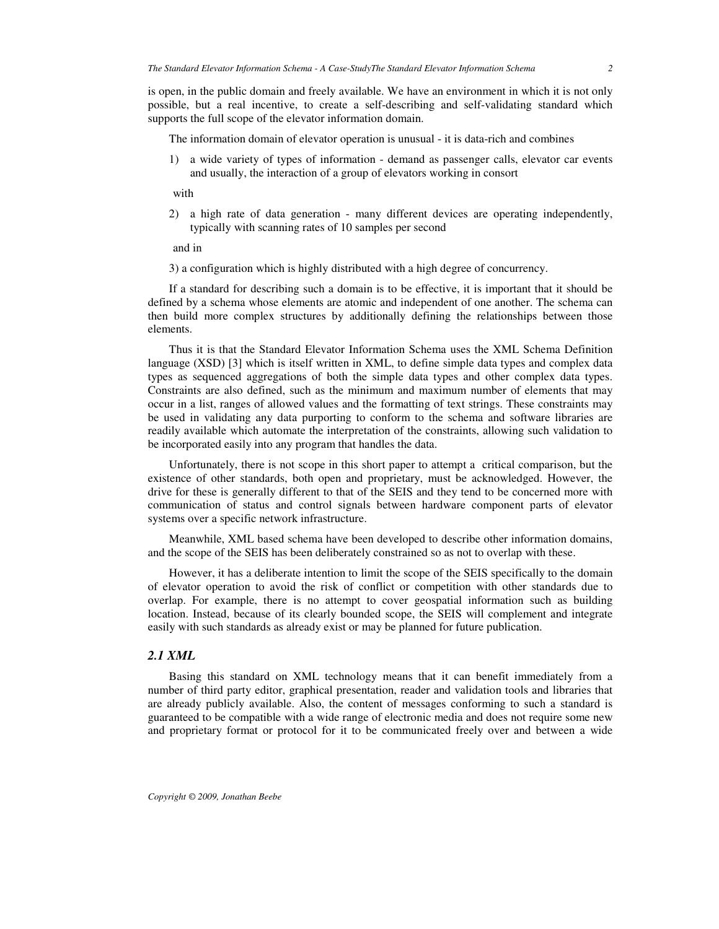is open, in the public domain and freely available. We have an environment in which it is not only possible, but a real incentive, to create a self-describing and self-validating standard which supports the full scope of the elevator information domain.

The information domain of elevator operation is unusual - it is data-rich and combines

1) a wide variety of types of information - demand as passenger calls, elevator car events and usually, the interaction of a group of elevators working in consort

with

2) a high rate of data generation - many different devices are operating independently, typically with scanning rates of 10 samples per second

and in

3) a configuration which is highly distributed with a high degree of concurrency.

If a standard for describing such a domain is to be effective, it is important that it should be defined by a schema whose elements are atomic and independent of one another. The schema can then build more complex structures by additionally defining the relationships between those elements.

Thus it is that the Standard Elevator Information Schema uses the XML Schema Definition language (XSD) [3] which is itself written in XML, to define simple data types and complex data types as sequenced aggregations of both the simple data types and other complex data types. Constraints are also defined, such as the minimum and maximum number of elements that may occur in a list, ranges of allowed values and the formatting of text strings. These constraints may be used in validating any data purporting to conform to the schema and software libraries are readily available which automate the interpretation of the constraints, allowing such validation to be incorporated easily into any program that handles the data.

Unfortunately, there is not scope in this short paper to attempt a critical comparison, but the existence of other standards, both open and proprietary, must be acknowledged. However, the drive for these is generally different to that of the SEIS and they tend to be concerned more with communication of status and control signals between hardware component parts of elevator systems over a specific network infrastructure.

Meanwhile, XML based schema have been developed to describe other information domains, and the scope of the SEIS has been deliberately constrained so as not to overlap with these.

However, it has a deliberate intention to limit the scope of the SEIS specifically to the domain of elevator operation to avoid the risk of conflict or competition with other standards due to overlap. For example, there is no attempt to cover geospatial information such as building location. Instead, because of its clearly bounded scope, the SEIS will complement and integrate easily with such standards as already exist or may be planned for future publication.

### *2.1 XML*

Basing this standard on XML technology means that it can benefit immediately from a number of third party editor, graphical presentation, reader and validation tools and libraries that are already publicly available. Also, the content of messages conforming to such a standard is guaranteed to be compatible with a wide range of electronic media and does not require some new and proprietary format or protocol for it to be communicated freely over and between a wide

*Copyright © 2009, Jonathan Beebe*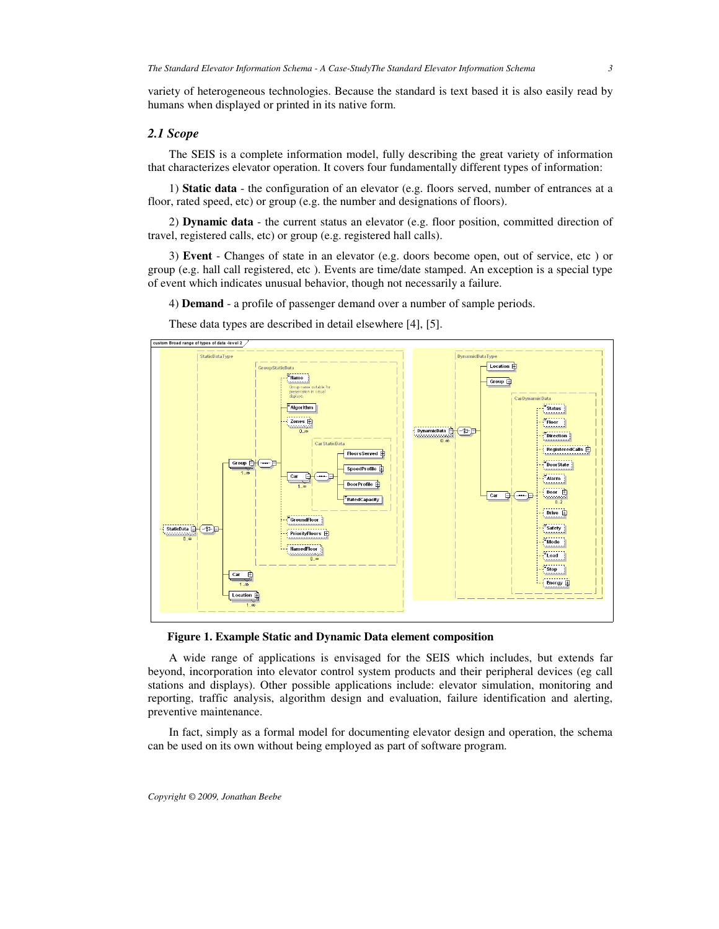variety of heterogeneous technologies. Because the standard is text based it is also easily read by humans when displayed or printed in its native form.

### *2.1 Scope*

The SEIS is a complete information model, fully describing the great variety of information that characterizes elevator operation. It covers four fundamentally different types of information:

1) **Static data** - the configuration of an elevator (e.g. floors served, number of entrances at a floor, rated speed, etc) or group (e.g. the number and designations of floors).

2) **Dynamic data** - the current status an elevator (e.g. floor position, committed direction of travel, registered calls, etc) or group (e.g. registered hall calls).

3) **Event** - Changes of state in an elevator (e.g. doors become open, out of service, etc ) or group (e.g. hall call registered, etc ). Events are time/date stamped. An exception is a special type of event which indicates unusual behavior, though not necessarily a failure.

4) **Demand** - a profile of passenger demand over a number of sample periods.



These data types are described in detail elsewhere [4], [5].

**Figure 1. Example Static and Dynamic Data element composition**

A wide range of applications is envisaged for the SEIS which includes, but extends far beyond, incorporation into elevator control system products and their peripheral devices (eg call stations and displays). Other possible applications include: elevator simulation, monitoring and reporting, traffic analysis, algorithm design and evaluation, failure identification and alerting, preventive maintenance.

In fact, simply as a formal model for documenting elevator design and operation, the schema can be used on its own without being employed as part of software program.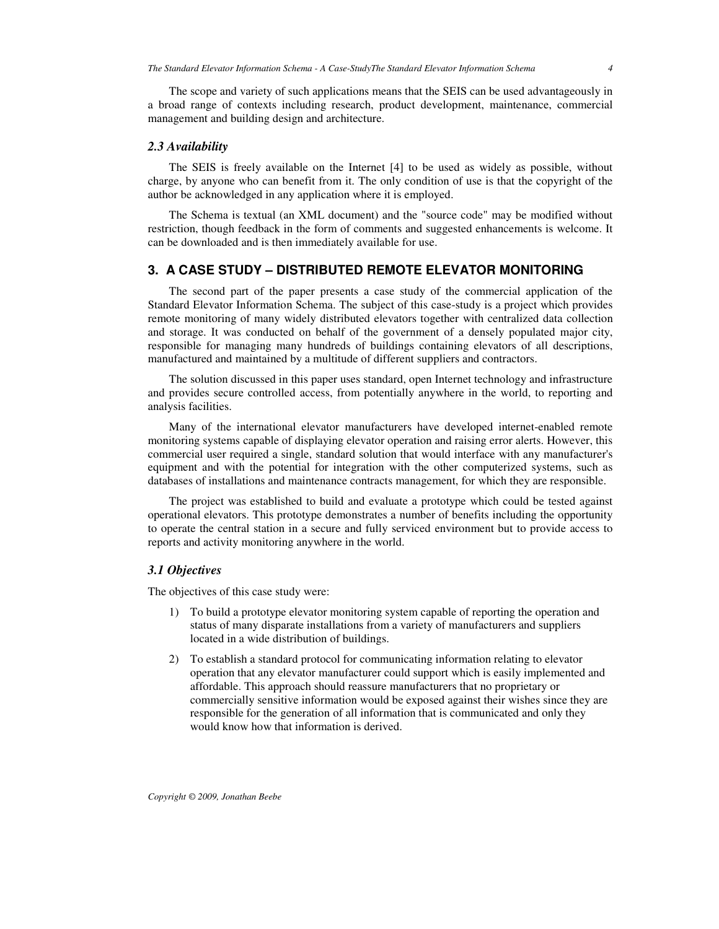The scope and variety of such applications means that the SEIS can be used advantageously in a broad range of contexts including research, product development, maintenance, commercial management and building design and architecture.

## *2.3 Availability*

The SEIS is freely available on the Internet [4] to be used as widely as possible, without charge, by anyone who can benefit from it. The only condition of use is that the copyright of the author be acknowledged in any application where it is employed.

The Schema is textual (an XML document) and the "source code" may be modified without restriction, though feedback in the form of comments and suggested enhancements is welcome. It can be downloaded and is then immediately available for use.

## **3. A CASE STUDY – DISTRIBUTED REMOTE ELEVATOR MONITORING**

The second part of the paper presents a case study of the commercial application of the Standard Elevator Information Schema. The subject of this case-study is a project which provides remote monitoring of many widely distributed elevators together with centralized data collection and storage. It was conducted on behalf of the government of a densely populated major city, responsible for managing many hundreds of buildings containing elevators of all descriptions, manufactured and maintained by a multitude of different suppliers and contractors.

The solution discussed in this paper uses standard, open Internet technology and infrastructure and provides secure controlled access, from potentially anywhere in the world, to reporting and analysis facilities.

Many of the international elevator manufacturers have developed internet-enabled remote monitoring systems capable of displaying elevator operation and raising error alerts. However, this commercial user required a single, standard solution that would interface with any manufacturer's equipment and with the potential for integration with the other computerized systems, such as databases of installations and maintenance contracts management, for which they are responsible.

The project was established to build and evaluate a prototype which could be tested against operational elevators. This prototype demonstrates a number of benefits including the opportunity to operate the central station in a secure and fully serviced environment but to provide access to reports and activity monitoring anywhere in the world.

### *3.1 Objectives*

The objectives of this case study were:

- 1) To build a prototype elevator monitoring system capable of reporting the operation and status of many disparate installations from a variety of manufacturers and suppliers located in a wide distribution of buildings.
- 2) To establish a standard protocol for communicating information relating to elevator operation that any elevator manufacturer could support which is easily implemented and affordable. This approach should reassure manufacturers that no proprietary or commercially sensitive information would be exposed against their wishes since they are responsible for the generation of all information that is communicated and only they would know how that information is derived.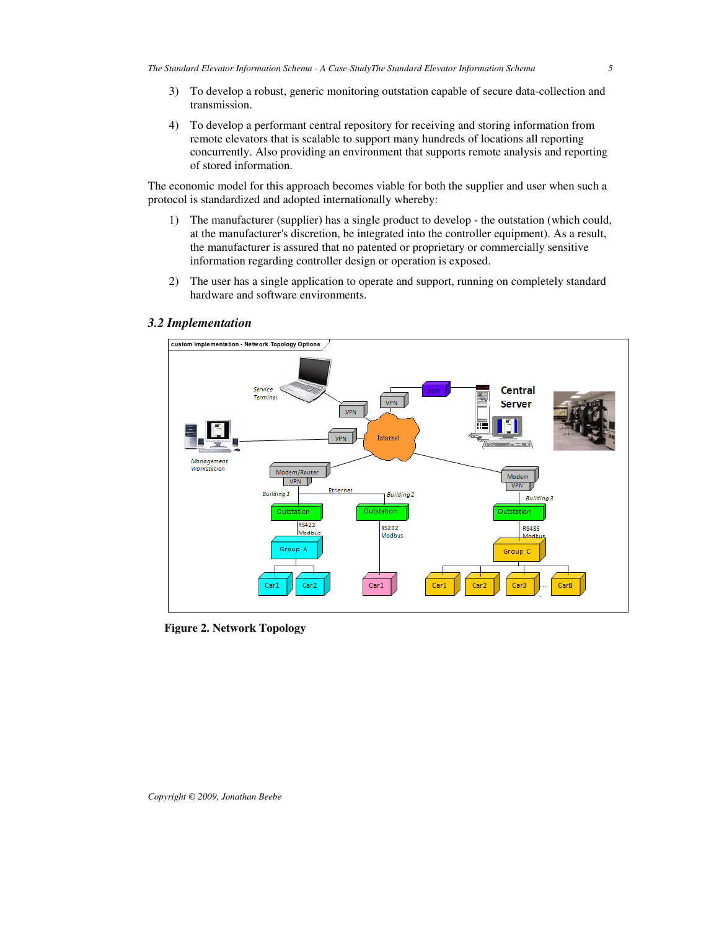- 3) To develop a robust, generic monitoring outstation capable of secure data-collection and transmission.
- 4) To develop a performant central repository for receiving and storing information from remote elevators that is scalable to support many hundreds of locations all reporting concurrently. Also providing an environment that supports remote analysis and reporting of stored information.

The economic model for this approach becomes viable for both the supplier and user when such a protocol is standardized and adopted internationally whereby:

- 1) The manufacturer (supplier) has a single product to develop the outstation (which could, at the manufacturer's discretion, be integrated into the controller equipment). As a result, the manufacturer is assured that no patented or proprietary or commercially sensitive information regarding controller design or operation is exposed.
- 2) The user has a single application to operate and support, running on completely standard hardware and software environments.



## *3.2 Implementation*

**Figure 2. Network Topology**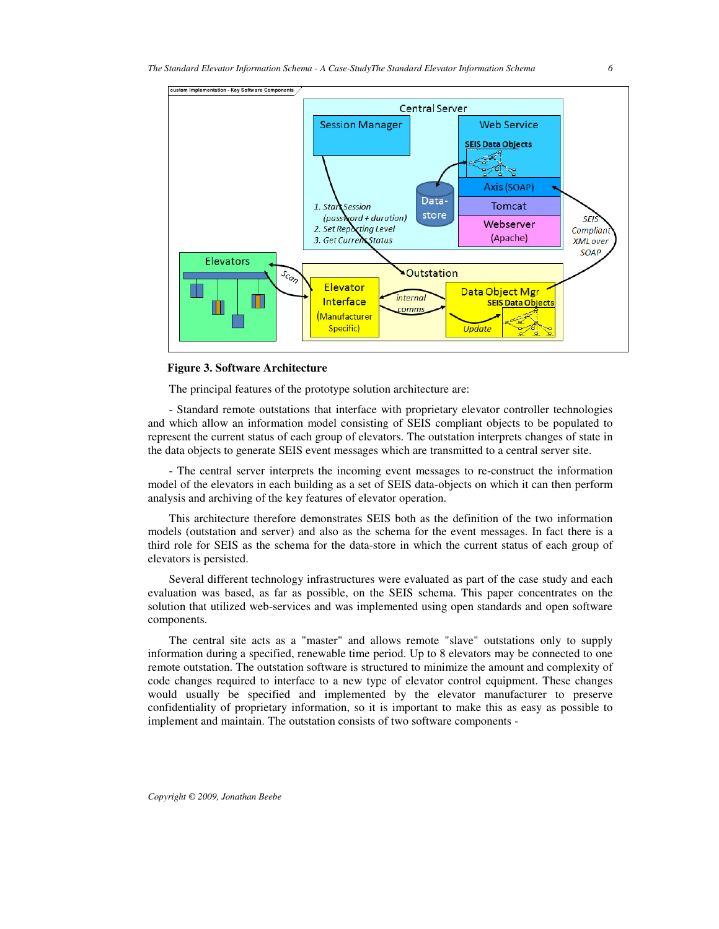

**Figure 3. Software Architecture**

The principal features of the prototype solution architecture are:

- Standard remote outstations that interface with proprietary elevator controller technologies and which allow an information model consisting of SEIS compliant objects to be populated to represent the current status of each group of elevators. The outstation interprets changes of state in the data objects to generate SEIS event messages which are transmitted to a central server site.

- The central server interprets the incoming event messages to re-construct the information model of the elevators in each building as a set of SEIS data-objects on which it can then perform analysis and archiving of the key features of elevator operation.

This architecture therefore demonstrates SEIS both as the definition of the two information models (outstation and server) and also as the schema for the event messages. In fact there is a third role for SEIS as the schema for the data-store in which the current status of each group of elevators is persisted.

Several different technology infrastructures were evaluated as part of the case study and each evaluation was based, as far as possible, on the SEIS schema. This paper concentrates on the solution that utilized web-services and was implemented using open standards and open software components.

The central site acts as a "master" and allows remote "slave" outstations only to supply information during a specified, renewable time period. Up to 8 elevators may be connected to one remote outstation. The outstation software is structured to minimize the amount and complexity of code changes required to interface to a new type of elevator control equipment. These changes would usually be specified and implemented by the elevator manufacturer to preserve confidentiality of proprietary information, so it is important to make this as easy as possible to implement and maintain. The outstation consists of two software components -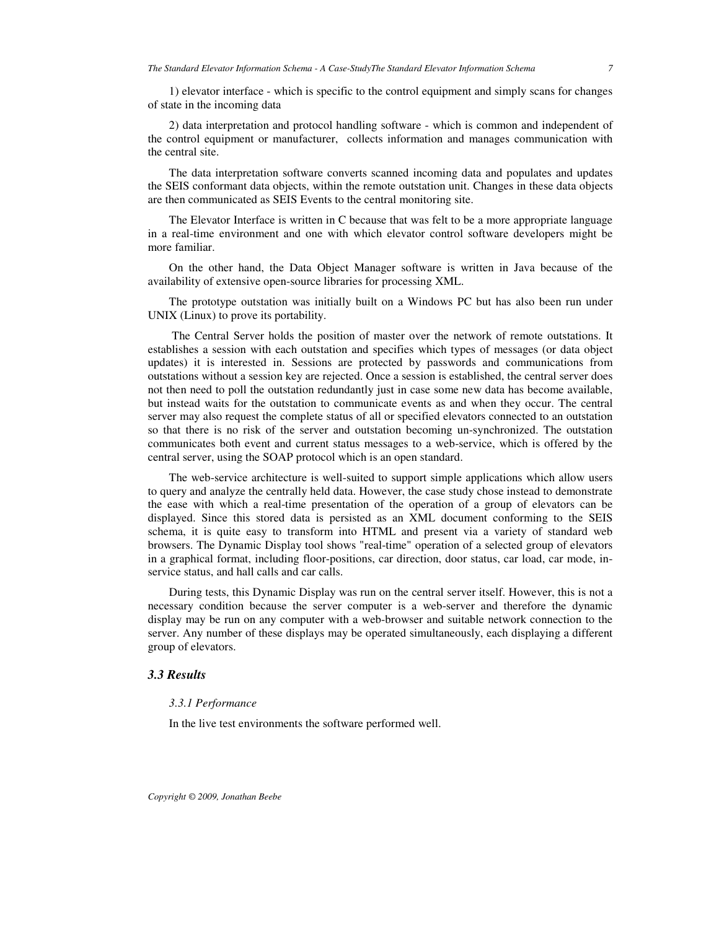1) elevator interface - which is specific to the control equipment and simply scans for changes of state in the incoming data

2) data interpretation and protocol handling software - which is common and independent of the control equipment or manufacturer, collects information and manages communication with the central site.

The data interpretation software converts scanned incoming data and populates and updates the SEIS conformant data objects, within the remote outstation unit. Changes in these data objects are then communicated as SEIS Events to the central monitoring site.

The Elevator Interface is written in C because that was felt to be a more appropriate language in a real-time environment and one with which elevator control software developers might be more familiar.

On the other hand, the Data Object Manager software is written in Java because of the availability of extensive open-source libraries for processing XML.

The prototype outstation was initially built on a Windows PC but has also been run under UNIX (Linux) to prove its portability.

The Central Server holds the position of master over the network of remote outstations. It establishes a session with each outstation and specifies which types of messages (or data object updates) it is interested in. Sessions are protected by passwords and communications from outstations without a session key are rejected. Once a session is established, the central server does not then need to poll the outstation redundantly just in case some new data has become available, but instead waits for the outstation to communicate events as and when they occur. The central server may also request the complete status of all or specified elevators connected to an outstation so that there is no risk of the server and outstation becoming un-synchronized. The outstation communicates both event and current status messages to a web-service, which is offered by the central server, using the SOAP protocol which is an open standard.

The web-service architecture is well-suited to support simple applications which allow users to query and analyze the centrally held data. However, the case study chose instead to demonstrate the ease with which a real-time presentation of the operation of a group of elevators can be displayed. Since this stored data is persisted as an XML document conforming to the SEIS schema, it is quite easy to transform into HTML and present via a variety of standard web browsers. The Dynamic Display tool shows "real-time" operation of a selected group of elevators in a graphical format, including floor-positions, car direction, door status, car load, car mode, inservice status, and hall calls and car calls.

During tests, this Dynamic Display was run on the central server itself. However, this is not a necessary condition because the server computer is a web-server and therefore the dynamic display may be run on any computer with a web-browser and suitable network connection to the server. Any number of these displays may be operated simultaneously, each displaying a different group of elevators.

### *3.3 Results*

#### *3.3.1 Performance*

In the live test environments the software performed well.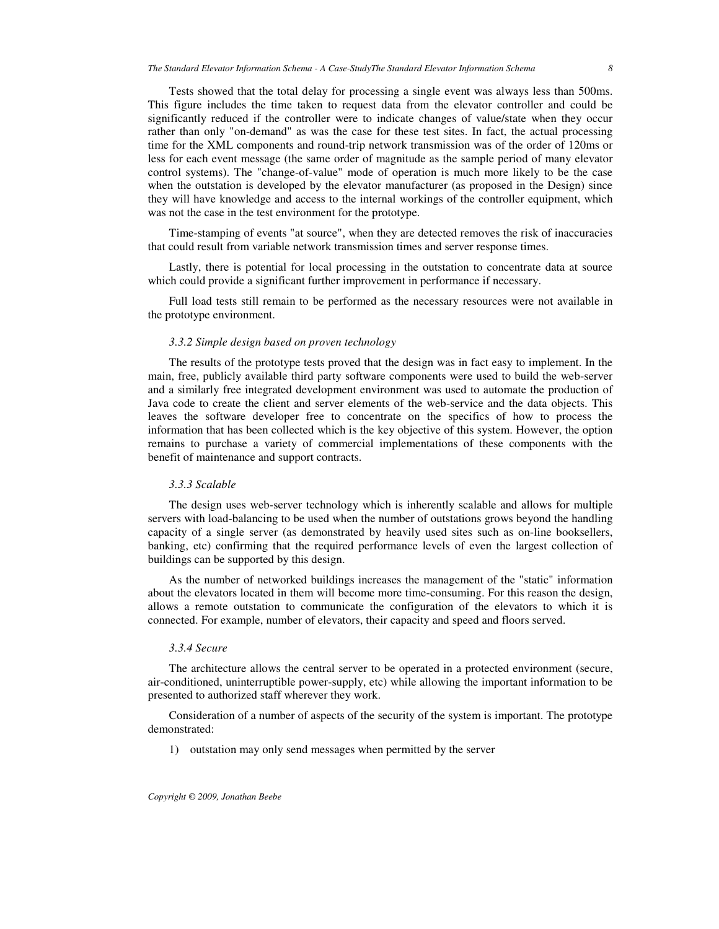Tests showed that the total delay for processing a single event was always less than 500ms. This figure includes the time taken to request data from the elevator controller and could be significantly reduced if the controller were to indicate changes of value/state when they occur rather than only "on-demand" as was the case for these test sites. In fact, the actual processing time for the XML components and round-trip network transmission was of the order of 120ms or less for each event message (the same order of magnitude as the sample period of many elevator control systems). The "change-of-value" mode of operation is much more likely to be the case when the outstation is developed by the elevator manufacturer (as proposed in the Design) since they will have knowledge and access to the internal workings of the controller equipment, which was not the case in the test environment for the prototype.

Time-stamping of events "at source", when they are detected removes the risk of inaccuracies that could result from variable network transmission times and server response times.

Lastly, there is potential for local processing in the outstation to concentrate data at source which could provide a significant further improvement in performance if necessary.

Full load tests still remain to be performed as the necessary resources were not available in the prototype environment.

### *3.3.2 Simple design based on proven technology*

The results of the prototype tests proved that the design was in fact easy to implement. In the main, free, publicly available third party software components were used to build the web-server and a similarly free integrated development environment was used to automate the production of Java code to create the client and server elements of the web-service and the data objects. This leaves the software developer free to concentrate on the specifics of how to process the information that has been collected which is the key objective of this system. However, the option remains to purchase a variety of commercial implementations of these components with the benefit of maintenance and support contracts.

#### *3.3.3 Scalable*

The design uses web-server technology which is inherently scalable and allows for multiple servers with load-balancing to be used when the number of outstations grows beyond the handling capacity of a single server (as demonstrated by heavily used sites such as on-line booksellers, banking, etc) confirming that the required performance levels of even the largest collection of buildings can be supported by this design.

As the number of networked buildings increases the management of the "static" information about the elevators located in them will become more time-consuming. For this reason the design, allows a remote outstation to communicate the configuration of the elevators to which it is connected. For example, number of elevators, their capacity and speed and floors served.

#### *3.3.4 Secure*

The architecture allows the central server to be operated in a protected environment (secure, air-conditioned, uninterruptible power-supply, etc) while allowing the important information to be presented to authorized staff wherever they work.

Consideration of a number of aspects of the security of the system is important. The prototype demonstrated:

1) outstation may only send messages when permitted by the server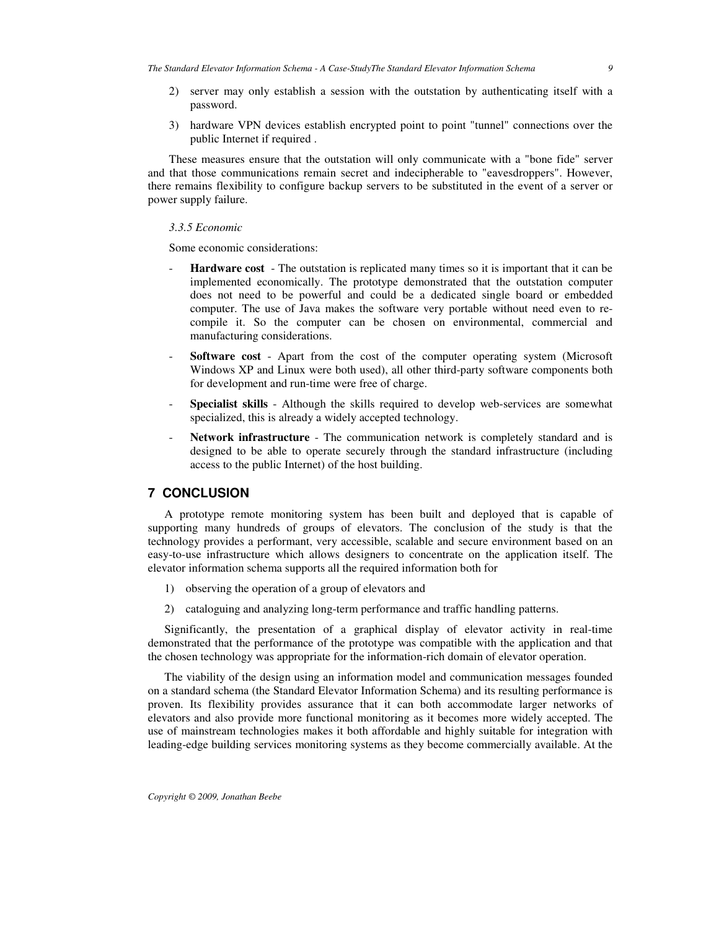- 2) server may only establish a session with the outstation by authenticating itself with a password.
- 3) hardware VPN devices establish encrypted point to point "tunnel" connections over the public Internet if required .

These measures ensure that the outstation will only communicate with a "bone fide" server and that those communications remain secret and indecipherable to "eavesdroppers". However, there remains flexibility to configure backup servers to be substituted in the event of a server or power supply failure.

## *3.3.5 Economic*

Some economic considerations:

- **Hardware** cost The outstation is replicated many times so it is important that it can be implemented economically. The prototype demonstrated that the outstation computer does not need to be powerful and could be a dedicated single board or embedded computer. The use of Java makes the software very portable without need even to recompile it. So the computer can be chosen on environmental, commercial and manufacturing considerations.
- **Software cost** Apart from the cost of the computer operating system (Microsoft Windows XP and Linux were both used), all other third-party software components both for development and run-time were free of charge.
- **Specialist skills** Although the skills required to develop web-services are somewhat specialized, this is already a widely accepted technology.
- Network infrastructure The communication network is completely standard and is designed to be able to operate securely through the standard infrastructure (including access to the public Internet) of the host building.

## **7 CONCLUSION**

A prototype remote monitoring system has been built and deployed that is capable of supporting many hundreds of groups of elevators. The conclusion of the study is that the technology provides a performant, very accessible, scalable and secure environment based on an easy-to-use infrastructure which allows designers to concentrate on the application itself. The elevator information schema supports all the required information both for

- 1) observing the operation of a group of elevators and
- 2) cataloguing and analyzing long-term performance and traffic handling patterns.

Significantly, the presentation of a graphical display of elevator activity in real-time demonstrated that the performance of the prototype was compatible with the application and that the chosen technology was appropriate for the information-rich domain of elevator operation.

The viability of the design using an information model and communication messages founded on a standard schema (the Standard Elevator Information Schema) and its resulting performance is proven. Its flexibility provides assurance that it can both accommodate larger networks of elevators and also provide more functional monitoring as it becomes more widely accepted. The use of mainstream technologies makes it both affordable and highly suitable for integration with leading-edge building services monitoring systems as they become commercially available. At the